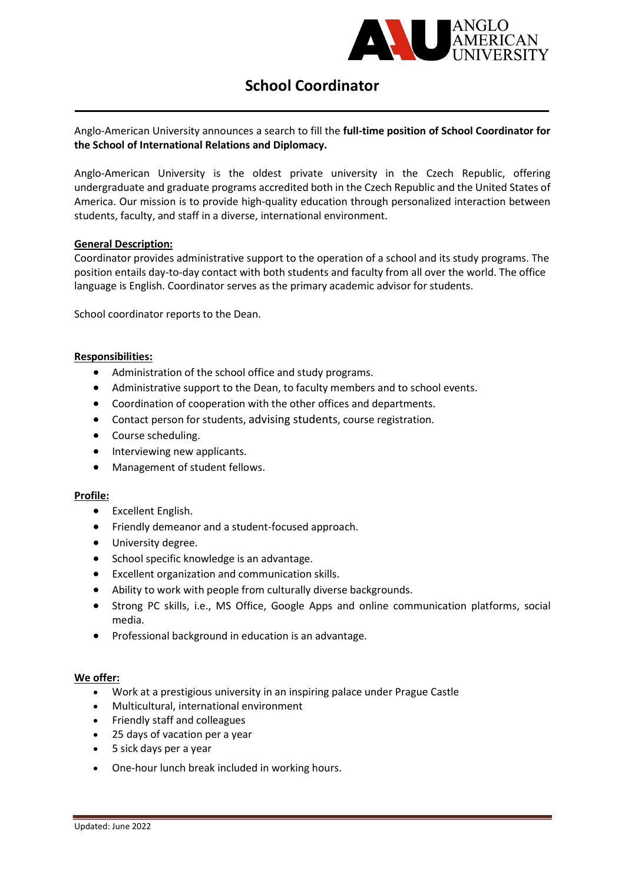

# School Coordinator

## Anglo-American University announces a search to fill the full-time position of School Coordinator for the School of International Relations and Diplomacy.

Anglo-American University is the oldest private university in the Czech Republic, offering undergraduate and graduate programs accredited both in the Czech Republic and the United States of America. Our mission is to provide high-quality education through personalized interaction between students, faculty, and staff in a diverse, international environment.

## General Description:

Coordinator provides administrative support to the operation of a school and its study programs. The position entails day-to-day contact with both students and faculty from all over the world. The office language is English. Coordinator serves as the primary academic advisor for students.

School coordinator reports to the Dean.

## Responsibilities:

- Administration of the school office and study programs.
- Administrative support to the Dean, to faculty members and to school events.
- Coordination of cooperation with the other offices and departments.
- Contact person for students, advising students, course registration.
- Course scheduling.
- Interviewing new applicants.
- Management of student fellows.

## Profile:

- Excellent English.
- Friendly demeanor and a student-focused approach.
- **•** University degree.
- School specific knowledge is an advantage.
- Excellent organization and communication skills.
- Ability to work with people from culturally diverse backgrounds.
- Strong PC skills, i.e., MS Office, Google Apps and online communication platforms, social media.
- Professional background in education is an advantage.

## We offer:

- Work at a prestigious university in an inspiring palace under Prague Castle
- Multicultural, international environment
- Friendly staff and colleagues
- 25 days of vacation per a year
- 5 sick days per a year
- One-hour lunch break included in working hours.